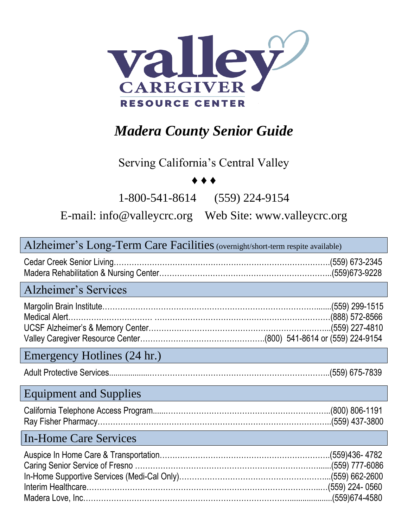

# *Madera County Senior Guide*

### Serving California's Central Valley

#### ♦ ♦ ♦

1-800-541-8614 (559) 224-9154

E-mail: [info@valleycrc.org](mailto:info@valleycrc.org) Web Site: www.valleycrc.org

| Alzheimer's Long-Term Care Facilities (overnight/short-term respite available) |
|--------------------------------------------------------------------------------|
|--------------------------------------------------------------------------------|

Alzheimer's Services

#### Emergency Hotlines (24 hr.)

|--|--|

#### Equipment and Supplies

#### In-Home Care Services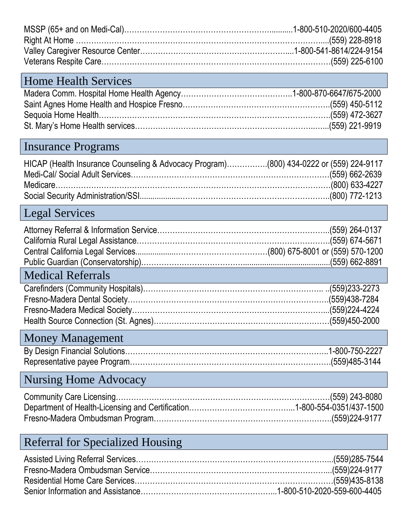### Home Health Services

### Insurance Programs

| HICAP (Health Insurance Counseling & Advocacy Program)(800) 434-0222 or (559) 224-9117 |  |
|----------------------------------------------------------------------------------------|--|
|                                                                                        |  |
|                                                                                        |  |
|                                                                                        |  |

## Legal Services

| <b>Medical Referrals</b> |  |
|--------------------------|--|

## Money Management

### Nursing Home Advocacy

## Referral for Specialized Housing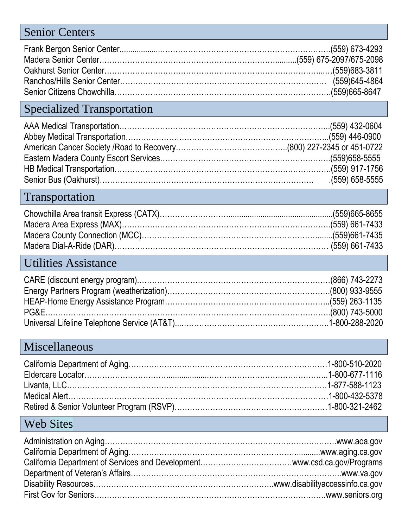### Senior Centers

## Specialized Transportation

### Transportation

### Utilities Assistance

#### Miscellaneous

### Web Sites